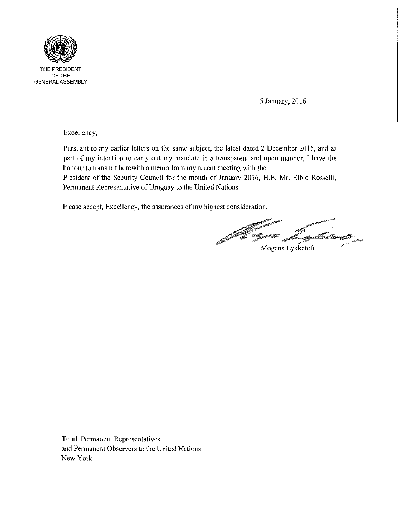

THE PRESIDENT OFTHE GENERAL ASSEMBLY

5 January, 2016

Excellency,

Pursuant to my earlier letters on the same subject, the latest dated 2 December 2015, and as part of my intention to carry out my mandate in a transparent and open manner, I have the honour to transmit herewith a memo from my recent meeting with the

President of the Security Council for the month of January 2016, H.E. Mr. Elbio Rosselli, Permanent Representative of Uruguay to the United Nations.

Please accept, Excellency, the assurances of my highest consideration.

 $\mathscr{E}^*$  , where  $\mathscr{E}^*$ Mogens Lykketoft

To all Permanent Representatives and Permanent Observers to the United Nations New York